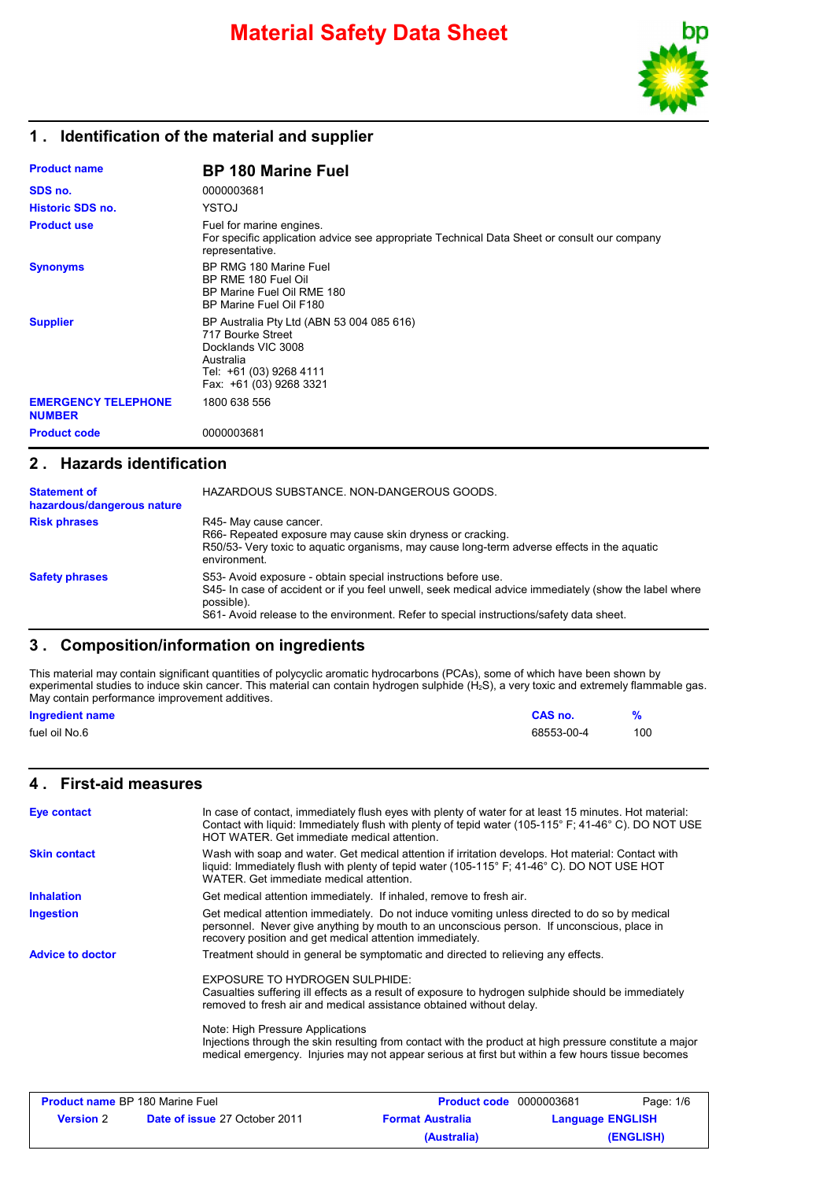

### **1 . Identification of the material and supplier**

| <b>Product name</b>                         | <b>BP 180 Marine Fuel</b>                                                                                                                               |
|---------------------------------------------|---------------------------------------------------------------------------------------------------------------------------------------------------------|
| SDS no.                                     | 0000003681                                                                                                                                              |
| <b>Historic SDS no.</b>                     | YSTOJ                                                                                                                                                   |
| <b>Product use</b>                          | Fuel for marine engines.<br>For specific application advice see appropriate Technical Data Sheet or consult our company<br>representative.              |
| <b>Synonyms</b>                             | BP RMG 180 Marine Fuel<br>BP RME 180 Fuel Oil<br>BP Marine Fuel Oil RME 180<br>BP Marine Fuel Oil F180                                                  |
| <b>Supplier</b>                             | BP Australia Pty Ltd (ABN 53 004 085 616)<br>717 Bourke Street<br>Docklands VIC 3008<br>Australia<br>Tel: +61 (03) 9268 4111<br>Fax: +61 (03) 9268 3321 |
| <b>EMERGENCY TELEPHONE</b><br><b>NUMBER</b> | 1800 638 556                                                                                                                                            |
| <b>Product code</b>                         | 0000003681                                                                                                                                              |

#### **2 . Hazards identification**

| <b>Statement of</b><br>hazardous/dangerous nature | HAZARDOUS SUBSTANCE, NON-DANGEROUS GOODS.                                                                                                                                                                                                                                       |
|---------------------------------------------------|---------------------------------------------------------------------------------------------------------------------------------------------------------------------------------------------------------------------------------------------------------------------------------|
| <b>Risk phrases</b>                               | R45- May cause cancer.<br>R66- Repeated exposure may cause skin dryness or cracking.<br>R50/53- Very toxic to aguatic organisms, may cause long-term adverse effects in the aguatic<br>environment.                                                                             |
| <b>Safety phrases</b>                             | S53- Avoid exposure - obtain special instructions before use.<br>S45- In case of accident or if you feel unwell, seek medical advice immediately (show the label where<br>possible).<br>S61- Avoid release to the environment. Refer to special instructions/safety data sheet. |

#### **3 . Composition/information on ingredients**

This material may contain significant quantities of polycyclic aromatic hydrocarbons (PCAs), some of which have been shown by experimental studies to induce skin cancer. This material can contain hydrogen sulphide (H<sub>2</sub>S), a very toxic and extremely flammable gas. May contain performance improvement additives.

| <b>Ingredient name</b> | <b>CAS no.</b> |     |
|------------------------|----------------|-----|
| fuel oil No.6          | 68553-00-4     | 100 |

### **4 . First-aid measures**

| <b>Eye contact</b>                     | In case of contact, immediately flush eyes with plenty of water for at least 15 minutes. Hot material:<br>Contact with liquid: Immediately flush with plenty of tepid water (105-115° F; 41-46° C). DO NOT USE<br>HOT WATER. Get immediate medical attention. |                                |           |
|----------------------------------------|---------------------------------------------------------------------------------------------------------------------------------------------------------------------------------------------------------------------------------------------------------------|--------------------------------|-----------|
| <b>Skin contact</b>                    | Wash with soap and water. Get medical attention if irritation develops. Hot material: Contact with<br>liquid: Immediately flush with plenty of tepid water (105-115° F; 41-46° C). DO NOT USE HOT<br>WATER. Get immediate medical attention.                  |                                |           |
| <b>Inhalation</b>                      | Get medical attention immediately. If inhaled, remove to fresh air.                                                                                                                                                                                           |                                |           |
| <b>Ingestion</b>                       | Get medical attention immediately. Do not induce vomiting unless directed to do so by medical<br>personnel. Never give anything by mouth to an unconscious person. If unconscious, place in<br>recovery position and get medical attention immediately.       |                                |           |
| <b>Advice to doctor</b>                | Treatment should in general be symptomatic and directed to relieving any effects.                                                                                                                                                                             |                                |           |
|                                        | EXPOSURE TO HYDROGEN SULPHIDE:<br>Casualties suffering ill effects as a result of exposure to hydrogen sulphide should be immediately<br>removed to fresh air and medical assistance obtained without delay.                                                  |                                |           |
|                                        | Note: High Pressure Applications<br>Injections through the skin resulting from contact with the product at high pressure constitute a major<br>medical emergency. Injuries may not appear serious at first but within a few hours tissue becomes              |                                |           |
|                                        |                                                                                                                                                                                                                                                               |                                |           |
| <b>Product name BP 180 Marine Fuel</b> |                                                                                                                                                                                                                                                               | <b>Product code</b> 0000003681 | Page: 1/6 |

| <b>Product name</b> BP 180 Marine Fuel |                                      | <b>Product code</b> 0000003681 |                         | Page: 1/6 |  |
|----------------------------------------|--------------------------------------|--------------------------------|-------------------------|-----------|--|
| <b>Version</b> 2                       | <b>Date of issue 27 October 2011</b> | <b>Format Australia</b>        | <b>Language ENGLISH</b> |           |  |
|                                        |                                      | (Australia)                    |                         | (ENGLISH) |  |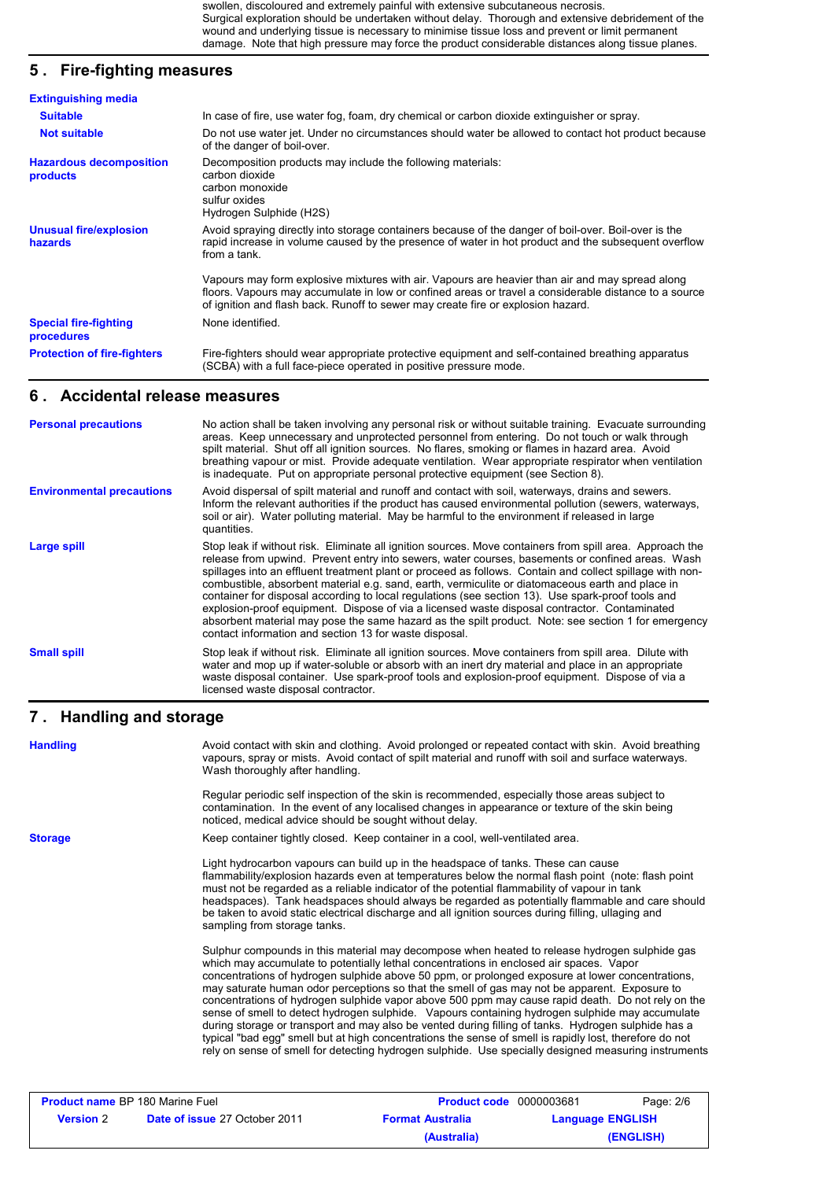swollen, discoloured and extremely painful with extensive subcutaneous necrosis. Surgical exploration should be undertaken without delay. Thorough and extensive debridement of the wound and underlying tissue is necessary to minimise tissue loss and prevent or limit permanent damage. Note that high pressure may force the product considerable distances along tissue planes.

## **5 . Fire-fighting measures**

| <b>Extinguishing media</b>                        |                                                                                                                                                                                                                                                                                              |
|---------------------------------------------------|----------------------------------------------------------------------------------------------------------------------------------------------------------------------------------------------------------------------------------------------------------------------------------------------|
| <b>Suitable</b>                                   | In case of fire, use water fog, foam, dry chemical or carbon dioxide extinguisher or spray.                                                                                                                                                                                                  |
| <b>Not suitable</b>                               | Do not use water jet. Under no circumstances should water be allowed to contact hot product because<br>of the danger of boil-over.                                                                                                                                                           |
| <b>Hazardous decomposition</b><br><b>products</b> | Decomposition products may include the following materials:<br>carbon dioxide<br>carbon monoxide<br>sulfur oxides<br>Hydrogen Sulphide (H2S)                                                                                                                                                 |
| <b>Unusual fire/explosion</b><br>hazards          | Avoid spraying directly into storage containers because of the danger of boil-over. Boil-over is the<br>rapid increase in volume caused by the presence of water in hot product and the subsequent overflow<br>from a tank.                                                                  |
|                                                   | Vapours may form explosive mixtures with air. Vapours are heavier than air and may spread along<br>floors. Vapours may accumulate in low or confined areas or travel a considerable distance to a source<br>of ignition and flash back. Runoff to sewer may create fire or explosion hazard. |
| <b>Special fire-fighting</b><br>procedures        | None identified.                                                                                                                                                                                                                                                                             |
| <b>Protection of fire-fighters</b>                | Fire-fighters should wear appropriate protective equipment and self-contained breathing apparatus<br>(SCBA) with a full face-piece operated in positive pressure mode.                                                                                                                       |

#### **6 . Accidental release measures**

| <b>Personal precautions</b>      | No action shall be taken involving any personal risk or without suitable training. Evacuate surrounding<br>areas. Keep unnecessary and unprotected personnel from entering. Do not touch or walk through<br>spilt material. Shut off all ignition sources. No flares, smoking or flames in hazard area. Avoid<br>breathing vapour or mist. Provide adequate ventilation. Wear appropriate respirator when ventilation<br>is inadequate. Put on appropriate personal protective equipment (see Section 8).                                                                                                                                                                                                                                                                                          |
|----------------------------------|----------------------------------------------------------------------------------------------------------------------------------------------------------------------------------------------------------------------------------------------------------------------------------------------------------------------------------------------------------------------------------------------------------------------------------------------------------------------------------------------------------------------------------------------------------------------------------------------------------------------------------------------------------------------------------------------------------------------------------------------------------------------------------------------------|
| <b>Environmental precautions</b> | Avoid dispersal of spilt material and runoff and contact with soil, waterways, drains and sewers.<br>Inform the relevant authorities if the product has caused environmental pollution (sewers, waterways,<br>soil or air). Water polluting material. May be harmful to the environment if released in large<br>quantities.                                                                                                                                                                                                                                                                                                                                                                                                                                                                        |
| Large spill                      | Stop leak if without risk. Eliminate all ignition sources. Move containers from spill area. Approach the<br>release from upwind. Prevent entry into sewers, water courses, basements or confined areas. Wash<br>spillages into an effluent treatment plant or proceed as follows. Contain and collect spillage with non-<br>combustible, absorbent material e.g. sand, earth, vermiculite or diatomaceous earth and place in<br>container for disposal according to local regulations (see section 13). Use spark-proof tools and<br>explosion-proof equipment. Dispose of via a licensed waste disposal contractor. Contaminated<br>absorbent material may pose the same hazard as the spilt product. Note: see section 1 for emergency<br>contact information and section 13 for waste disposal. |
| <b>Small spill</b>               | Stop leak if without risk. Eliminate all ignition sources. Move containers from spill area. Dilute with<br>water and mop up if water-soluble or absorb with an inert dry material and place in an appropriate<br>waste disposal container. Use spark-proof tools and explosion-proof equipment. Dispose of via a<br>licensed waste disposal contractor.                                                                                                                                                                                                                                                                                                                                                                                                                                            |

#### **Handling and storage 7 .**

| <b>Handling</b>                        | Avoid contact with skin and clothing. Avoid prolonged or repeated contact with skin. Avoid breathing<br>vapours, spray or mists. Avoid contact of spilt material and runoff with soil and surface waterways.<br>Wash thoroughly after handling.                                                                                                                                                                                                                                                                                                                                                                                                                                                                                                                                                                                                                                                                                 |                                |           |
|----------------------------------------|---------------------------------------------------------------------------------------------------------------------------------------------------------------------------------------------------------------------------------------------------------------------------------------------------------------------------------------------------------------------------------------------------------------------------------------------------------------------------------------------------------------------------------------------------------------------------------------------------------------------------------------------------------------------------------------------------------------------------------------------------------------------------------------------------------------------------------------------------------------------------------------------------------------------------------|--------------------------------|-----------|
|                                        | Regular periodic self inspection of the skin is recommended, especially those areas subject to<br>contamination. In the event of any localised changes in appearance or texture of the skin being<br>noticed, medical advice should be sought without delay.                                                                                                                                                                                                                                                                                                                                                                                                                                                                                                                                                                                                                                                                    |                                |           |
| <b>Storage</b>                         | Keep container tightly closed. Keep container in a cool, well-ventilated area.                                                                                                                                                                                                                                                                                                                                                                                                                                                                                                                                                                                                                                                                                                                                                                                                                                                  |                                |           |
|                                        | Light hydrocarbon vapours can build up in the headspace of tanks. These can cause<br>flammability/explosion hazards even at temperatures below the normal flash point (note: flash point<br>must not be regarded as a reliable indicator of the potential flammability of vapour in tank<br>headspaces). Tank headspaces should always be regarded as potentially flammable and care should<br>be taken to avoid static electrical discharge and all ignition sources during filling, ullaging and<br>sampling from storage tanks.                                                                                                                                                                                                                                                                                                                                                                                              |                                |           |
|                                        | Sulphur compounds in this material may decompose when heated to release hydrogen sulphide gas<br>which may accumulate to potentially lethal concentrations in enclosed air spaces. Vapor<br>concentrations of hydrogen sulphide above 50 ppm, or prolonged exposure at lower concentrations,<br>may saturate human odor perceptions so that the smell of gas may not be apparent. Exposure to<br>concentrations of hydrogen sulphide vapor above 500 ppm may cause rapid death. Do not rely on the<br>sense of smell to detect hydrogen sulphide. Vapours containing hydrogen sulphide may accumulate<br>during storage or transport and may also be vented during filling of tanks. Hydrogen sulphide has a<br>typical "bad egg" smell but at high concentrations the sense of smell is rapidly lost, therefore do not<br>rely on sense of smell for detecting hydrogen sulphide. Use specially designed measuring instruments |                                |           |
| <b>Product name BP 180 Marine Fuel</b> |                                                                                                                                                                                                                                                                                                                                                                                                                                                                                                                                                                                                                                                                                                                                                                                                                                                                                                                                 | <b>Product code</b> 0000003681 | Page: 2/6 |

| $\lceil$ loudult hanne Die Too Manne Fuel. |                                      | <b>FIGURE COUP</b> OUDDOUGUOT | ayc. Zo                 |  |
|--------------------------------------------|--------------------------------------|-------------------------------|-------------------------|--|
| <b>Version 2</b>                           | <b>Date of issue 27 October 2011</b> | <b>Format Australia</b>       | <b>Language ENGLISH</b> |  |
|                                            |                                      | (Australia)                   | (ENGLISH)               |  |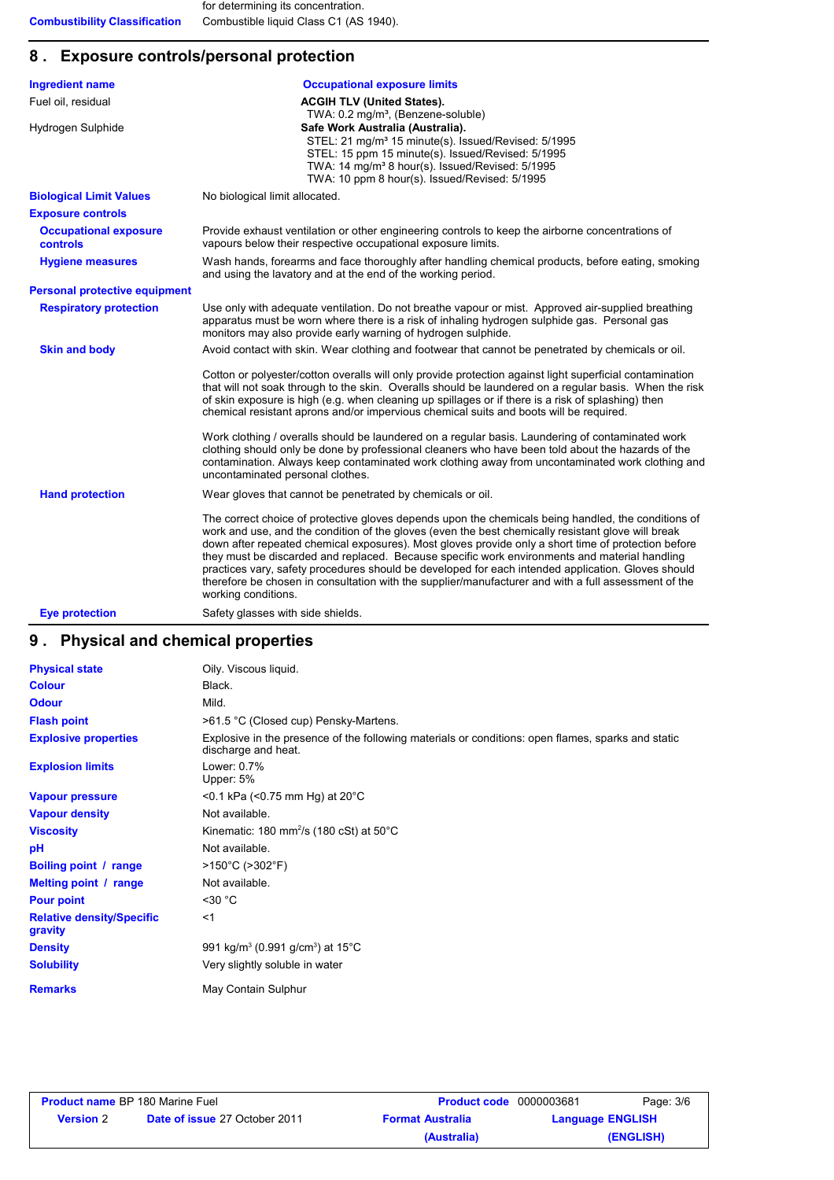## **8 . Exposure controls/personal protection**

| <b>Ingredient name</b>                   | <b>Occupational exposure limits</b>                                                                                                                                                                                                                                                                                                                                                                                                                                                                                                                                                                                                                    |
|------------------------------------------|--------------------------------------------------------------------------------------------------------------------------------------------------------------------------------------------------------------------------------------------------------------------------------------------------------------------------------------------------------------------------------------------------------------------------------------------------------------------------------------------------------------------------------------------------------------------------------------------------------------------------------------------------------|
| Fuel oil, residual                       | <b>ACGIH TLV (United States).</b><br>TWA: 0.2 mg/m <sup>3</sup> , (Benzene-soluble)                                                                                                                                                                                                                                                                                                                                                                                                                                                                                                                                                                    |
| Hydrogen Sulphide                        | Safe Work Australia (Australia).<br>STEL: 21 mg/m <sup>3</sup> 15 minute(s). Issued/Revised: 5/1995<br>STEL: 15 ppm 15 minute(s). Issued/Revised: 5/1995<br>TWA: 14 mg/m <sup>3</sup> 8 hour(s). Issued/Revised: 5/1995<br>TWA: 10 ppm 8 hour(s). Issued/Revised: 5/1995                                                                                                                                                                                                                                                                                                                                                                               |
| <b>Biological Limit Values</b>           | No biological limit allocated.                                                                                                                                                                                                                                                                                                                                                                                                                                                                                                                                                                                                                         |
| <b>Exposure controls</b>                 |                                                                                                                                                                                                                                                                                                                                                                                                                                                                                                                                                                                                                                                        |
| <b>Occupational exposure</b><br>controls | Provide exhaust ventilation or other engineering controls to keep the airborne concentrations of<br>vapours below their respective occupational exposure limits.                                                                                                                                                                                                                                                                                                                                                                                                                                                                                       |
| <b>Hygiene measures</b>                  | Wash hands, forearms and face thoroughly after handling chemical products, before eating, smoking<br>and using the lavatory and at the end of the working period.                                                                                                                                                                                                                                                                                                                                                                                                                                                                                      |
| <b>Personal protective equipment</b>     |                                                                                                                                                                                                                                                                                                                                                                                                                                                                                                                                                                                                                                                        |
| <b>Respiratory protection</b>            | Use only with adequate ventilation. Do not breathe vapour or mist. Approved air-supplied breathing<br>apparatus must be worn where there is a risk of inhaling hydrogen sulphide gas. Personal gas<br>monitors may also provide early warning of hydrogen sulphide.                                                                                                                                                                                                                                                                                                                                                                                    |
| <b>Skin and body</b>                     | Avoid contact with skin. Wear clothing and footwear that cannot be penetrated by chemicals or oil.                                                                                                                                                                                                                                                                                                                                                                                                                                                                                                                                                     |
|                                          | Cotton or polyester/cotton overalls will only provide protection against light superficial contamination<br>that will not soak through to the skin. Overalls should be laundered on a regular basis. When the risk<br>of skin exposure is high (e.g. when cleaning up spillages or if there is a risk of splashing) then<br>chemical resistant aprons and/or impervious chemical suits and boots will be required.                                                                                                                                                                                                                                     |
|                                          | Work clothing / overalls should be laundered on a regular basis. Laundering of contaminated work<br>clothing should only be done by professional cleaners who have been told about the hazards of the<br>contamination. Always keep contaminated work clothing away from uncontaminated work clothing and<br>uncontaminated personal clothes.                                                                                                                                                                                                                                                                                                          |
| <b>Hand protection</b>                   | Wear gloves that cannot be penetrated by chemicals or oil.                                                                                                                                                                                                                                                                                                                                                                                                                                                                                                                                                                                             |
|                                          | The correct choice of protective gloves depends upon the chemicals being handled, the conditions of<br>work and use, and the condition of the gloves (even the best chemically resistant glove will break<br>down after repeated chemical exposures). Most gloves provide only a short time of protection before<br>they must be discarded and replaced. Because specific work environments and material handling<br>practices vary, safety procedures should be developed for each intended application. Gloves should<br>therefore be chosen in consultation with the supplier/manufacturer and with a full assessment of the<br>working conditions. |
| <b>Eye protection</b>                    | Safety glasses with side shields.                                                                                                                                                                                                                                                                                                                                                                                                                                                                                                                                                                                                                      |

# **9 . Physical and chemical properties**

| <b>Physical state</b>                       | Oily. Viscous liquid.                                                                                                     |
|---------------------------------------------|---------------------------------------------------------------------------------------------------------------------------|
| <b>Colour</b>                               | Black.                                                                                                                    |
| <b>Odour</b>                                | Mild.                                                                                                                     |
| <b>Flash point</b>                          | >61.5 °C (Closed cup) Pensky-Martens.                                                                                     |
| <b>Explosive properties</b>                 | Explosive in the presence of the following materials or conditions: open flames, sparks and static<br>discharge and heat. |
| <b>Explosion limits</b>                     | Lower: 0.7%<br>Upper: 5%                                                                                                  |
| <b>Vapour pressure</b>                      | $<$ 0.1 kPa ( $<$ 0.75 mm Hg) at 20 $^{\circ}$ C                                                                          |
| <b>Vapour density</b>                       | Not available.                                                                                                            |
| <b>Viscosity</b>                            | Kinematic: 180 mm <sup>2</sup> /s (180 cSt) at $50^{\circ}$ C                                                             |
| рH                                          | Not available.                                                                                                            |
| Boiling point / range                       | $>150^{\circ}$ C ( $>302^{\circ}$ F)                                                                                      |
| Melting point / range                       | Not available.                                                                                                            |
| <b>Pour point</b>                           | $<$ 30 °C                                                                                                                 |
| <b>Relative density/Specific</b><br>gravity | $<$ 1                                                                                                                     |
| <b>Density</b>                              | 991 kg/m <sup>3</sup> (0.991 g/cm <sup>3</sup> ) at 15 <sup>°</sup> C                                                     |
| <b>Solubility</b>                           | Very slightly soluble in water                                                                                            |
| <b>Remarks</b>                              | May Contain Sulphur                                                                                                       |

| <b>Product name BP 180 Marine Fuel</b> |                                      | <b>Product code</b> 0000003681 | Page: 3/6               |
|----------------------------------------|--------------------------------------|--------------------------------|-------------------------|
| <b>Version</b> 2                       | <b>Date of issue 27 October 2011</b> | <b>Format Australia</b>        | <b>Language ENGLISH</b> |
|                                        |                                      | (Australia)                    | (ENGLISH)               |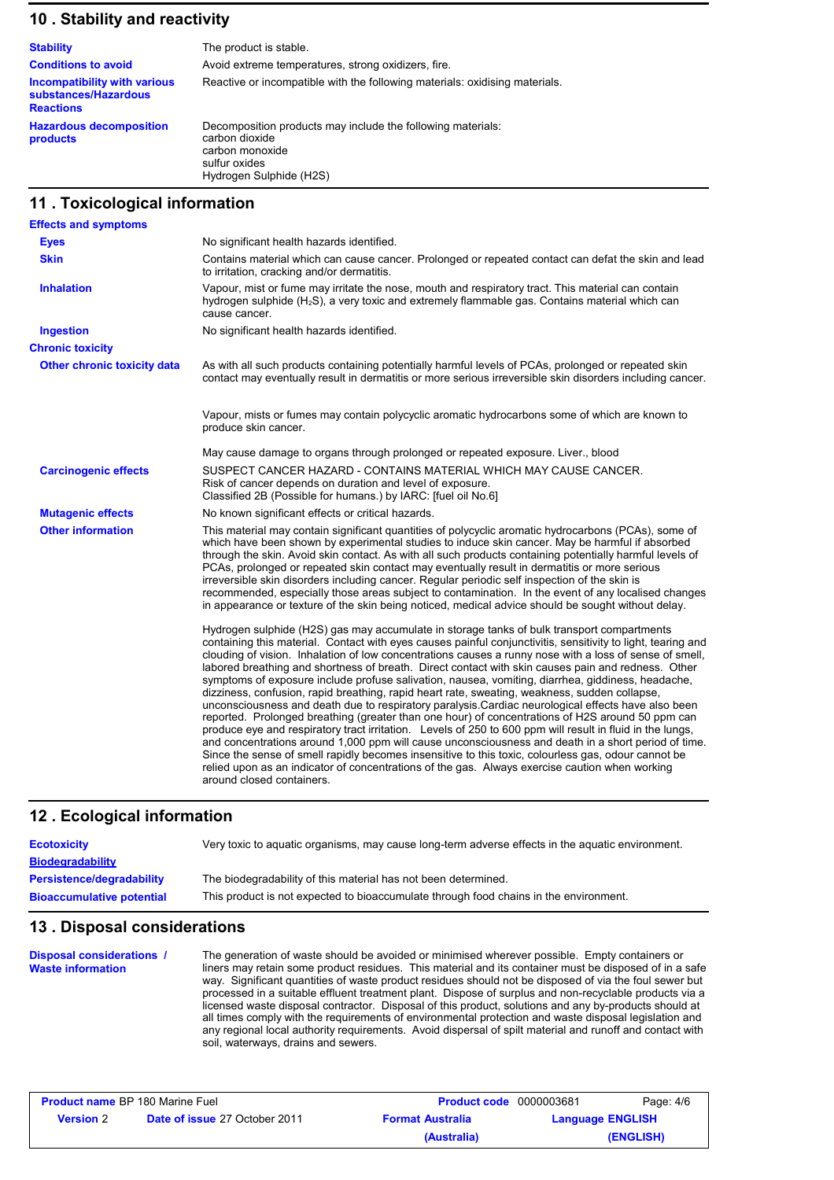#### **10 . Stability and reactivity**

| <b>Stability</b>                                                         | The product is stable.                                                                                                                       |
|--------------------------------------------------------------------------|----------------------------------------------------------------------------------------------------------------------------------------------|
| <b>Conditions to avoid</b>                                               | Avoid extreme temperatures, strong oxidizers, fire.                                                                                          |
| Incompatibility with various<br>substances/Hazardous<br><b>Reactions</b> | Reactive or incompatible with the following materials: oxidising materials.                                                                  |
| <b>Hazardous decomposition</b><br>products                               | Decomposition products may include the following materials:<br>carbon dioxide<br>carbon monoxide<br>sulfur oxides<br>Hydrogen Sulphide (H2S) |

#### **11 . Toxicological information**

| <b>Effects and symptoms</b>        |                                                                                                                                                                                                                                                                                                                                                                                                                                                                                                                                                                                                                                                                                                                                                                                                                                                                                                                                                                                                                                                                                                                                                                                                                                                                                                        |
|------------------------------------|--------------------------------------------------------------------------------------------------------------------------------------------------------------------------------------------------------------------------------------------------------------------------------------------------------------------------------------------------------------------------------------------------------------------------------------------------------------------------------------------------------------------------------------------------------------------------------------------------------------------------------------------------------------------------------------------------------------------------------------------------------------------------------------------------------------------------------------------------------------------------------------------------------------------------------------------------------------------------------------------------------------------------------------------------------------------------------------------------------------------------------------------------------------------------------------------------------------------------------------------------------------------------------------------------------|
| <b>Eyes</b>                        | No significant health hazards identified.                                                                                                                                                                                                                                                                                                                                                                                                                                                                                                                                                                                                                                                                                                                                                                                                                                                                                                                                                                                                                                                                                                                                                                                                                                                              |
| <b>Skin</b>                        | Contains material which can cause cancer. Prolonged or repeated contact can defat the skin and lead<br>to irritation, cracking and/or dermatitis.                                                                                                                                                                                                                                                                                                                                                                                                                                                                                                                                                                                                                                                                                                                                                                                                                                                                                                                                                                                                                                                                                                                                                      |
| <b>Inhalation</b>                  | Vapour, mist or fume may irritate the nose, mouth and respiratory tract. This material can contain<br>hydrogen sulphide (H <sub>2</sub> S), a very toxic and extremely flammable gas. Contains material which can<br>cause cancer.                                                                                                                                                                                                                                                                                                                                                                                                                                                                                                                                                                                                                                                                                                                                                                                                                                                                                                                                                                                                                                                                     |
| <b>Ingestion</b>                   | No significant health hazards identified.                                                                                                                                                                                                                                                                                                                                                                                                                                                                                                                                                                                                                                                                                                                                                                                                                                                                                                                                                                                                                                                                                                                                                                                                                                                              |
| <b>Chronic toxicity</b>            |                                                                                                                                                                                                                                                                                                                                                                                                                                                                                                                                                                                                                                                                                                                                                                                                                                                                                                                                                                                                                                                                                                                                                                                                                                                                                                        |
| <b>Other chronic toxicity data</b> | As with all such products containing potentially harmful levels of PCAs, prolonged or repeated skin<br>contact may eventually result in dermatitis or more serious irreversible skin disorders including cancer.                                                                                                                                                                                                                                                                                                                                                                                                                                                                                                                                                                                                                                                                                                                                                                                                                                                                                                                                                                                                                                                                                       |
|                                    | Vapour, mists or fumes may contain polycyclic aromatic hydrocarbons some of which are known to<br>produce skin cancer.                                                                                                                                                                                                                                                                                                                                                                                                                                                                                                                                                                                                                                                                                                                                                                                                                                                                                                                                                                                                                                                                                                                                                                                 |
|                                    | May cause damage to organs through prolonged or repeated exposure. Liver., blood                                                                                                                                                                                                                                                                                                                                                                                                                                                                                                                                                                                                                                                                                                                                                                                                                                                                                                                                                                                                                                                                                                                                                                                                                       |
| <b>Carcinogenic effects</b>        | SUSPECT CANCER HAZARD - CONTAINS MATERIAL WHICH MAY CAUSE CANCER.<br>Risk of cancer depends on duration and level of exposure.<br>Classified 2B (Possible for humans.) by IARC: [fuel oil No.6]                                                                                                                                                                                                                                                                                                                                                                                                                                                                                                                                                                                                                                                                                                                                                                                                                                                                                                                                                                                                                                                                                                        |
| <b>Mutagenic effects</b>           | No known significant effects or critical hazards.                                                                                                                                                                                                                                                                                                                                                                                                                                                                                                                                                                                                                                                                                                                                                                                                                                                                                                                                                                                                                                                                                                                                                                                                                                                      |
| <b>Other information</b>           | This material may contain significant quantities of polycyclic aromatic hydrocarbons (PCAs), some of<br>which have been shown by experimental studies to induce skin cancer. May be harmful if absorbed<br>through the skin. Avoid skin contact. As with all such products containing potentially harmful levels of<br>PCAs, prolonged or repeated skin contact may eventually result in dermatitis or more serious<br>irreversible skin disorders including cancer. Regular periodic self inspection of the skin is<br>recommended, especially those areas subject to contamination. In the event of any localised changes<br>in appearance or texture of the skin being noticed, medical advice should be sought without delay.                                                                                                                                                                                                                                                                                                                                                                                                                                                                                                                                                                      |
|                                    | Hydrogen sulphide (H2S) gas may accumulate in storage tanks of bulk transport compartments<br>containing this material. Contact with eyes causes painful conjunctivitis, sensitivity to light, tearing and<br>clouding of vision. Inhalation of low concentrations causes a runny nose with a loss of sense of smell,<br>labored breathing and shortness of breath. Direct contact with skin causes pain and redness. Other<br>symptoms of exposure include profuse salivation, nausea, vomiting, diarrhea, giddiness, headache,<br>dizziness, confusion, rapid breathing, rapid heart rate, sweating, weakness, sudden collapse,<br>unconsciousness and death due to respiratory paralysis. Cardiac neurological effects have also been<br>reported. Prolonged breathing (greater than one hour) of concentrations of H2S around 50 ppm can<br>produce eye and respiratory tract irritation. Levels of 250 to 600 ppm will result in fluid in the lungs,<br>and concentrations around 1,000 ppm will cause unconsciousness and death in a short period of time.<br>Since the sense of smell rapidly becomes insensitive to this toxic, colourless gas, odour cannot be<br>relied upon as an indicator of concentrations of the gas. Always exercise caution when working<br>around closed containers. |

#### **Ecological information 12 .**

| <b>Ecotoxicity</b>               | Very toxic to aquatic organisms, may cause long-term adverse effects in the aquatic environment. |
|----------------------------------|--------------------------------------------------------------------------------------------------|
| <b>Biodegradability</b>          |                                                                                                  |
| <b>Persistence/degradability</b> | The biodegradability of this material has not been determined.                                   |
| <b>Bioaccumulative potential</b> | This product is not expected to bioaccumulate through food chains in the environment.            |

#### **13 . Disposal considerations**

The generation of waste should be avoided or minimised wherever possible. Empty containers or liners may retain some product residues. This material and its container must be disposed of in a safe way. Significant quantities of waste product residues should not be disposed of via the foul sewer but processed in a suitable effluent treatment plant. Dispose of surplus and non-recyclable products via a licensed waste disposal contractor. Disposal of this product, solutions and any by-products should at all times comply with the requirements of environmental protection and waste disposal legislation and any regional local authority requirements. Avoid dispersal of spilt material and runoff and contact with soil, waterways, drains and sewers. **Disposal considerations / Waste information**

| <b>Product name BP 180 Marine Fuel</b> |                                      | <b>Product code</b> 0000003681                     |  | Page: 4/6 |
|----------------------------------------|--------------------------------------|----------------------------------------------------|--|-----------|
| <b>Version</b> 2                       | <b>Date of issue 27 October 2011</b> | <b>Format Australia</b><br><b>Language ENGLISH</b> |  |           |
|                                        |                                      | (Australia)                                        |  | (ENGLISH) |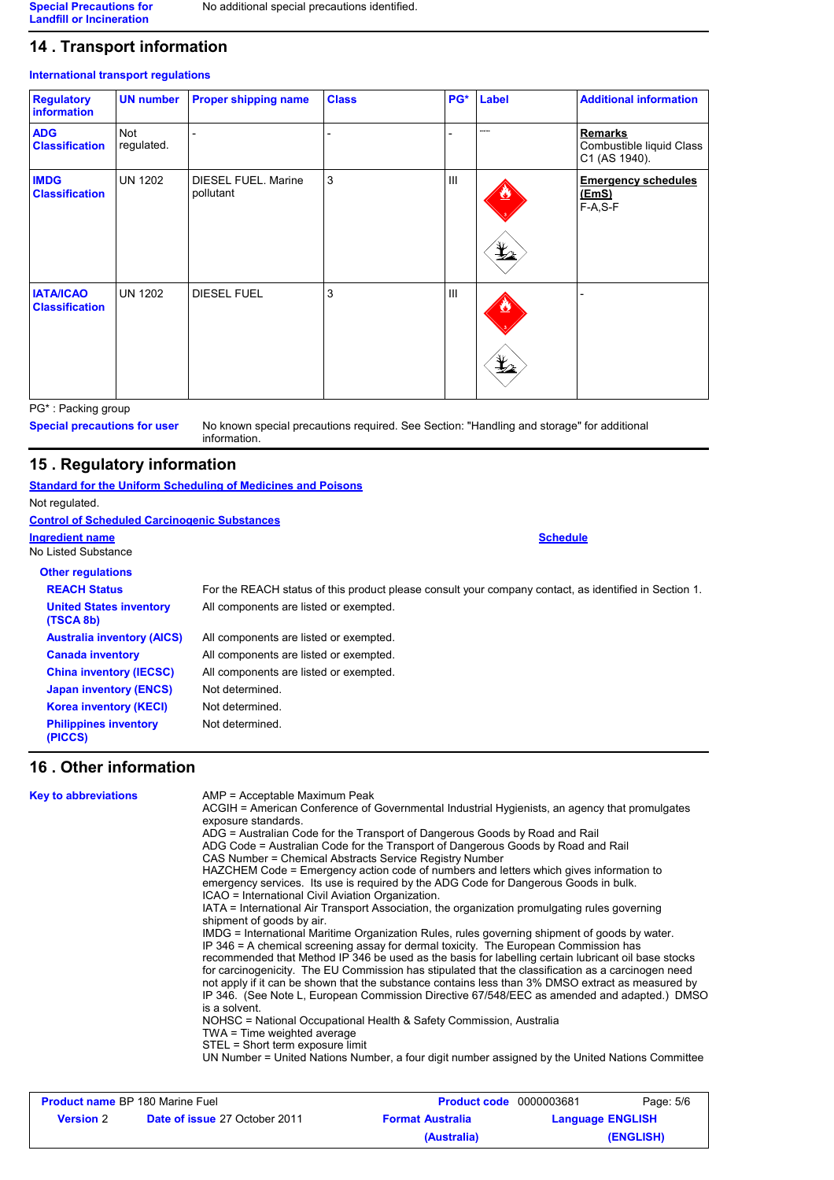#### **14 . Transport information**

#### **International transport regulations**

| <b>Regulatory</b><br><b>information</b>   | <b>UN number</b>  | <b>Proper shipping name</b>      | <b>Class</b> | PG*            | Label         | <b>Additional information</b>                               |
|-------------------------------------------|-------------------|----------------------------------|--------------|----------------|---------------|-------------------------------------------------------------|
| <b>ADG</b><br><b>Classification</b>       | Not<br>regulated. |                                  |              | -              |               | <b>Remarks</b><br>Combustible liquid Class<br>C1 (AS 1940). |
| <b>IMDG</b><br><b>Classification</b>      | <b>UN 1202</b>    | DIESEL FUEL. Marine<br>pollutant | 3            | $\mathbf{III}$ | $\frac{1}{2}$ | <b>Emergency schedules</b><br><u>(EmS)</u><br>$F-A, S-F$    |
| <b>IATA/ICAO</b><br><b>Classification</b> | <b>UN 1202</b>    | <b>DIESEL FUEL</b>               | 3            | $\mathbf{III}$ | $\frac{1}{2}$ |                                                             |

PG\* : Packing group

**Special precautions for user**

No known special precautions required. See Section: "Handling and storage" for additional information.

#### **15 . Regulatory information**

#### **Standard for the Uniform Scheduling of Medicines and Poisons**

Not regulated.

| <b>Control of Scheduled Carcinogenic Substances</b> |                                                                                                       |
|-----------------------------------------------------|-------------------------------------------------------------------------------------------------------|
| Ingredient name<br>No Listed Substance              | <b>Schedule</b>                                                                                       |
| <b>Other regulations</b>                            |                                                                                                       |
| <b>REACH Status</b>                                 | For the REACH status of this product please consult your company contact, as identified in Section 1. |
| <b>United States inventory</b><br>(TSCA 8b)         | All components are listed or exempted.                                                                |
| <b>Australia inventory (AICS)</b>                   | All components are listed or exempted.                                                                |
| <b>Canada inventory</b>                             | All components are listed or exempted.                                                                |
| <b>China inventory (IECSC)</b>                      | All components are listed or exempted.                                                                |
| <b>Japan inventory (ENCS)</b>                       | Not determined.                                                                                       |
| <b>Korea inventory (KECI)</b>                       | Not determined.                                                                                       |
| <b>Philippines inventory</b><br>(PICCS)             | Not determined.                                                                                       |

#### **16 . Other information**

#### AMP = Acceptable Maximum Peak ACGIH = American Conference of Governmental Industrial Hygienists, an agency that promulgates exposure standards. ADG = Australian Code for the Transport of Dangerous Goods by Road and Rail ADG Code = Australian Code for the Transport of Dangerous Goods by Road and Rail CAS Number = Chemical Abstracts Service Registry Number HAZCHEM Code = Emergency action code of numbers and letters which gives information to emergency services. Its use is required by the ADG Code for Dangerous Goods in bulk. ICAO = International Civil Aviation Organization. IATA = International Air Transport Association, the organization promulgating rules governing shipment of goods by air. IMDG = International Maritime Organization Rules, rules governing shipment of goods by water. IP 346 = A chemical screening assay for dermal toxicity. The European Commission has recommended that Method IP 346 be used as the basis for labelling certain lubricant oil base stocks for carcinogenicity. The EU Commission has stipulated that the classification as a carcinogen need not apply if it can be shown that the substance contains less than 3% DMSO extract as measured by IP 346. (See Note L, European Commission Directive 67/548/EEC as amended and adapted.) DMSO is a solvent. NOHSC = National Occupational Health & Safety Commission, Australia TWA = Time weighted average STEL = Short term exposure limit UN Number = United Nations Number, a four digit number assigned by the United Nations Committee **Key to abbreviations**

| <b>Product name</b> BP 180 Marine Fuel |                                                                 | <b>Product code</b> 0000003681 |                         | Page: 5/6 |
|----------------------------------------|-----------------------------------------------------------------|--------------------------------|-------------------------|-----------|
| <b>Version</b> 2                       | <b>Date of issue 27 October 2011</b><br><b>Format Australia</b> |                                | <b>Language ENGLISH</b> |           |
|                                        |                                                                 | (Australia)                    |                         | (ENGLISH) |